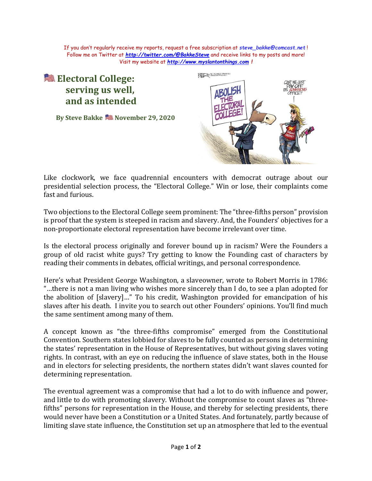If you don't regularly receive my reports, request a free subscription at *[steve\\_bakke@comcast.net](mailto:steve_bakke@comcast.net)* ! Follow me on Twitter at *<http://twitter.com/@BakkeSteve>* and receive links to my posts and more! Visit my website at *[http://www.myslantonthings.com](http://www.myslantonthings.com/) !*

## **Electoral College: serving us well, and as intended**

**By Steve Bakke November 29, 2020**



Like clockwork, we face quadrennial encounters with democrat outrage about our presidential selection process, the "Electoral College." Win or lose, their complaints come fast and furious.

Two objections to the Electoral College seem prominent: The "three-fifths person" provision is proof that the system is steeped in racism and slavery. And, the Founders' objectives for a non-proportionate electoral representation have become irrelevant over time.

Is the electoral process originally and forever bound up in racism? Were the Founders a group of old racist white guys? Try getting to know the Founding cast of characters by reading their comments in debates, official writings, and personal correspondence.

Here's what President George Washington, a slaveowner, wrote to Robert Morris in 1786: "…there is not a man living who wishes more sincerely than I do, to see a plan adopted for the abolition of [slavery]…" To his credit, Washington provided for emancipation of his slaves after his death. I invite you to search out other Founders' opinions. You'll find much the same sentiment among many of them.

A concept known as "the three-fifths compromise" emerged from the Constitutional Convention. Southern states lobbied for slaves to be fully counted as persons in determining the states' representation in the House of Representatives, but without giving slaves voting rights. In contrast, with an eye on reducing the influence of slave states, both in the House and in electors for selecting presidents, the northern states didn't want slaves counted for determining representation.

The eventual agreement was a compromise that had a lot to do with influence and power, and little to do with promoting slavery. Without the compromise to count slaves as "threefifths" persons for representation in the House, and thereby for selecting presidents, there would never have been a Constitution or a United States. And fortunately, partly because of limiting slave state influence, the Constitution set up an atmosphere that led to the eventual